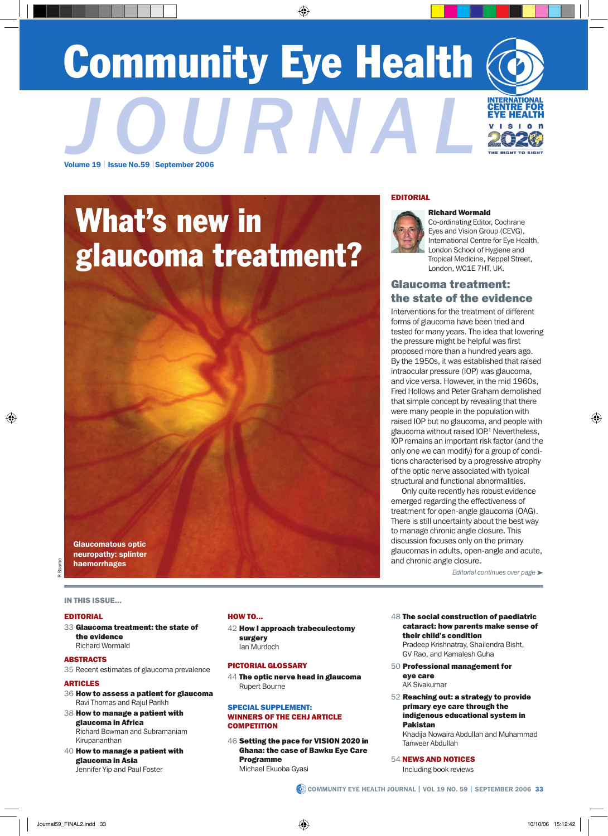# Community Eye Health Volume 19 | Issue No.59 |September 2006 **JOURNAL**



## What's new in glaucoma treatment?

EDITORIAL



#### Richard Wormald

Co-ordinating Editor, Cochrane Eyes and Vision Group (CEVG), International Centre for Eye Health, London School of Hygiene and Tropical Medicine, Keppel Street, London, WC1E 7HT, UK.

## Glaucoma treatment: the state of the evidence

Interventions for the treatment of different forms of glaucoma have been tried and tested for many years. The idea that lowering the pressure might be helpful was first proposed more than a hundred years ago. By the 1950s, it was established that raised intraocular pressure (IOP) was glaucoma, and vice versa. However, in the mid 1960s, Fred Hollows and Peter Graham demolished that simple concept by revealing that there were many people in the population with raised IOP but no glaucoma, and people with glaucoma without raised IOP.<sup>1</sup> Nevertheless, IOP remains an important risk factor (and the only one we can modify) for a group of conditions characterised by a progressive atrophy of the optic nerve associated with typical structural and functional abnormalities.

Only quite recently has robust evidence emerged regarding the effectiveness of treatment for open-angle glaucoma (OAG). There is still uncertainty about the best way to manage chronic angle closure. This discussion focuses only on the primary glaucomas in adults, open-angle and acute, and chronic angle closure.

*Editorial continues over page* ➤

In This Issue...

Glaucomatous optic neuropathy: splinter haemorrhages

#### EDITORIAL

33 Glaucoma treatment: the state of the evidence Richard Wormald

#### **ABSTRACTS**

35 Recent estimates of glaucoma prevalence

#### ARTICLES

- 36 How to assess a patient for glaucoma Ravi Thomas and Rajul Parikh
- 38 How to manage a patient with glaucoma in Africa Richard Bowman and Subramaniam Kirupananthan
- 40 How to manage a patient with glaucoma in Asia Jennifer Yip and Paul Foster

#### HOW TO...

42 How I approach trabeculectomy surgery Ian Murdoch

#### PICTORIAL GLOSSARY

44 The optic nerve head in glaucoma Rupert Bourne

#### SPECIAL SUPPLEMENT: WINNERS OF THE CEHJ ARTICLE **COMPETITION**

46 Setting the pace for VISION 2020 in Ghana: the case of Bawku Eye Care Programme Michael Ekuoba Gyasi

- 48 The social construction of paediatric cataract: how parents make sense of their child's condition Pradeep Krishnatray, Shailendra Bisht, GV Rao, and Kamalesh Guha
- 50 Professional management for eye care
	- AK Sivakumar
- 52 Reaching out: a strategy to provide primary eye care through the indigenous educational system in Pakistan

Khadija Nowaira Abdullah and Muhammad Tanweer Abdullah

54 NEWS AND NOTICES

Including book reviews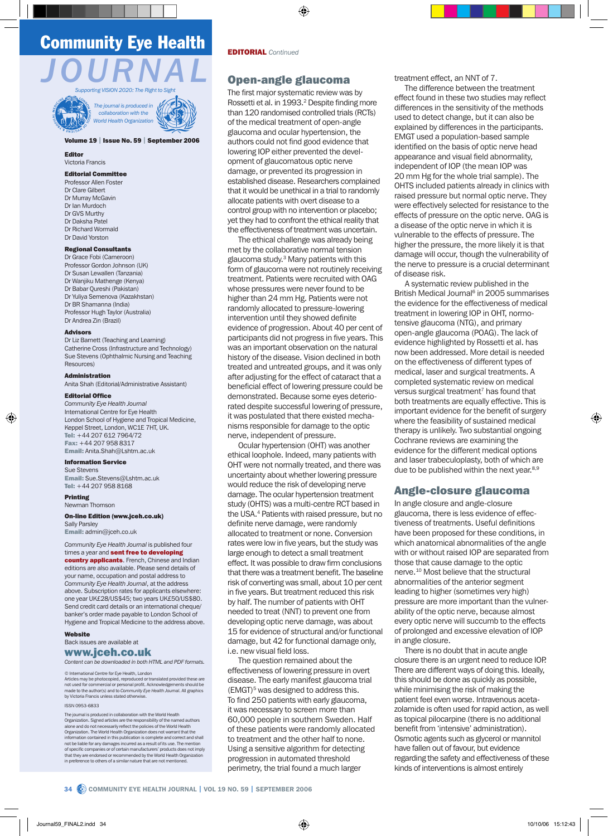## Community Eye Health





#### Volume 19 | Issue No. 59 | September 2006

Editor Victoria Francis

#### Editorial Committee

Professor Allen Foste Dr Clare Gilbert Dr Murray McGavin Dr Ian Murdoch Dr GVS Murthy Dr Daksha Patel Dr Richard Wormald Dr David Yorston

#### Regional Consultants

Dr Grace Fobi (Cameroon) Professor Gordon Johnson (UK) Dr Susan Lewallen (Tanzania) Dr Wanjiku Mathenge (Kenya) Dr Babar Qureshi (Pakistan) Dr Yuliya Semenova (Kazakhstan) Dr BR Shamanna (India) Professor Hugh Taylor (Australia) Dr Andrea Zin (Brazil)

#### Advisors

Dr Liz Barnett (Teaching and Learning) Catherine Cross (Infrastructure and Technology) Sue Stevens (Ophthalmic Nursing and Teaching Resources)

#### Administration

Anita Shah (Editorial/Administrative Assistant)

#### Editorial Office

*Community Eye Health Journal* International Centre for Eye Health London School of Hygiene and Tropical Medicine, Keppel Street, London, WC1E 7HT, UK. Tel: +44 207 612 7964/72 Fax: +44 207 958 8317 Email: Anita.Shah@Lshtm.ac.uk

#### Information Service

Sue Stevens Email: Sue.Stevens@Lshtm.ac.uk Tel: +44 207 958 8168

#### Printing Newman Thomson

#### On-line Edition (www.jceh.co.uk)

Sally Parsley Email: admin@jceh.co.uk

#### *Community Eye Health Journal* is published four times a year and sent free to developing

country applicants. French, Chinese and Indian editions are also available. Please send details of your name, occupation and postal address to *Community Eye Health Journal*, at the address above. Subscription rates for applicants elsewhere: one year UK£28/US\$45; two years UK£50/US\$80. Send credit card details or an international cheque/ banker's order made payable to London School of Hygiene and Tropical Medicine to the address above.

#### Website

Back issues are available at www.jceh.co.uk

*Content can be downloaded in both HTML and PDF formats.*

#### © International Centre for Eye Health, London

Articles may be photocopied, reproduced or translated provided these are not used for commercial or personal profit. Acknowledgements should be made to the author(s) and to *Community Eye Health Journal*. All graphics by Victoria Francis unless stated otherwise.

#### ISSN 0953-6833

The journal is produced in collaboration with the World Health Organization. Signed articles are the responsibility of the named authors alone and do not necessarily reflect the policies of the World Health Organization. The World Health Organization does not warrant that the information contained in this publication is complete and correct and shall not be liable for any damages incurred as a result of its use. The mention of specific companies or of certain manufacturers' products does not imply that they are endorsed or recommended by the World Health Organization in preference to others of a similar nature that are not mentioned.

### Open-angle glaucoma

The first major systematic review was by Rossetti et al. in 1993.<sup>2</sup> Despite finding more than 120 randomised controlled trials (RCTs) of the medical treatment of open-angle glaucoma and ocular hypertension, the authors could not find good evidence that lowering IOP either prevented the development of glaucomatous optic nerve damage, or prevented its progression in established disease. Researchers complained that it would be unethical in a trial to randomly allocate patients with overt disease to a control group with no intervention or placebo; yet they had to confront the ethical reality that the effectiveness of treatment was uncertain.

The ethical challenge was already being met by the collaborative normal tension glaucoma study.3 Many patients with this form of glaucoma were not routinely receiving treatment. Patients were recruited with OAG whose pressures were never found to be higher than 24 mm Hg. Patients were not randomly allocated to pressure-lowering intervention until they showed definite evidence of progression. About 40 per cent of participants did not progress in five years. This was an important observation on the natural history of the disease. Vision declined in both treated and untreated groups, and it was only after adjusting for the effect of cataract that a beneficial effect of lowering pressure could be demonstrated. Because some eyes deteriorated despite successful lowering of pressure, it was postulated that there existed mechanisms responsible for damage to the optic nerve, independent of pressure.

Ocular hypertension (OHT) was another ethical loophole. Indeed, many patients with OHT were not normally treated, and there was uncertainty about whether lowering pressure would reduce the risk of developing nerve damage. The ocular hypertension treatment study (OHTS) was a multi-centre RCT based in the USA.<sup>4</sup> Patients with raised pressure, but no definite nerve damage, were randomly allocated to treatment or none. Conversion rates were low in five years, but the study was large enough to detect a small treatment effect. It was possible to draw firm conclusions that there was a treatment benefit. The baseline risk of converting was small, about 10 per cent in five years. But treatment reduced this risk by half. The number of patients with OHT needed to treat (NNT) to prevent one from developing optic nerve damage, was about 15 for evidence of structural and/or functional damage, but 42 for functional damage only, i.e. new visual field loss.

The question remained about the effectiveness of lowering pressure in overt disease. The early manifest glaucoma trial (EMGT)<sup>5</sup> was designed to address this. To find 250 patients with early glaucoma, it was necessary to screen more than 60,000 people in southern Sweden. Half of these patients were randomly allocated to treatment and the other half to none. Using a sensitive algorithm for detecting progression in automated threshold perimetry, the trial found a much larger

treatment effect, an NNT of 7.

The difference between the treatment effect found in these two studies may reflect differences in the sensitivity of the methods used to detect change, but it can also be explained by differences in the participants. EMGT used a population-based sample identified on the basis of optic nerve head appearance and visual field abnormality, independent of IOP (the mean IOP was 20 mm Hg for the whole trial sample). The OHTS included patients already in clinics with raised pressure but normal optic nerve. They were effectively selected for resistance to the effects of pressure on the optic nerve. OAG is a disease of the optic nerve in which it is vulnerable to the effects of pressure. The higher the pressure, the more likely it is that damage will occur, though the vulnerability of the nerve to pressure is a crucial determinant of disease risk.

A systematic review published in the British Medical Journal6 in 2005 summarises the evidence for the effectiveness of medical treatment in lowering IOP in OHT, normotensive glaucoma (NTG), and primary open-angle glaucoma (POAG). The lack of evidence highlighted by Rossetti et al. has now been addressed. More detail is needed on the effectiveness of different types of medical, laser and surgical treatments. A completed systematic review on medical versus surgical treatment<sup>7</sup> has found that both treatments are equally effective. This is important evidence for the benefit of surgery where the feasibility of sustained medical therapy is unlikely. Two substantial ongoing Cochrane reviews are examining the evidence for the different medical options and laser trabeculoplasty, both of which are due to be published within the next year.<sup>8,9</sup>

#### Angle-closure glaucoma

In angle closure and angle-closure glaucoma, there is less evidence of effectiveness of treatments. Useful definitions have been proposed for these conditions, in which anatomical abnormalities of the angle with or without raised IOP are separated from those that cause damage to the optic nerve.10 Most believe that the structural abnormalities of the anterior segment leading to higher (sometimes very high) pressure are more important than the vulnerability of the optic nerve, because almost every optic nerve will succumb to the effects of prolonged and excessive elevation of IOP in angle closure.

There is no doubt that in acute angle closure there is an urgent need to reduce IOP. There are different ways of doing this. Ideally, this should be done as quickly as possible, while minimising the risk of making the patient feel even worse. Intravenous acetazolamide is often used for rapid action, as well as topical pilocarpine (there is no additional benefit from 'intensive' administration). Osmotic agents such as glycerol or mannitol have fallen out of favour, but evidence regarding the safety and effectiveness of these kinds of interventions is almost entirely